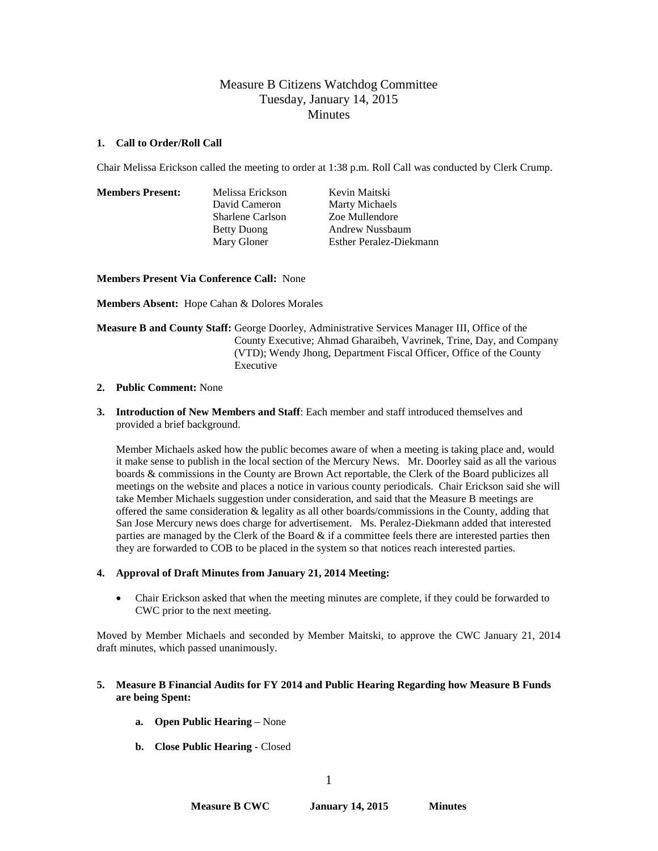# Measure B Citizens Watchdog Committee Tuesday, January 14, 2015 **Minutes**

#### **1. Call to Order/Roll Call**

Chair Melissa Erickson called the meeting to order at 1:38 p.m. Roll Call was conducted by Clerk Crump.

**Members Present:** Melissa Erickson Kevin Maitski

David Cameron Marty Michaels Sharlene Carlson Zoe Mullendore

Betty Duong Andrew Nussbaum Mary Gloner Esther Peralez-Diekmann

**Members Present Via Conference Call:** None

**Members Absent:** Hope Cahan & Dolores Morales

**Measure B and County Staff:** George Doorley, Administrative Services Manager III, Office of the County Executive; Ahmad Gharaibeh, Vavrinek, Trine, Day, and Company (VTD); Wendy Jhong, Department Fiscal Officer, Office of the County Executive

### **2. Public Comment:** None

**3. Introduction of New Members and Staff**: Each member and staff introduced themselves and provided a brief background.

Member Michaels asked how the public becomes aware of when a meeting is taking place and, would it make sense to publish in the local section of the Mercury News. Mr. Doorley said as all the various boards & commissions in the County are Brown Act reportable, the Clerk of the Board publicizes all meetings on the website and places a notice in various county periodicals. Chair Erickson said she will take Member Michaels suggestion under consideration, and said that the Measure B meetings are offered the same consideration & legality as all other boards/commissions in the County, adding that San Jose Mercury news does charge for advertisement. Ms. Peralez-Diekmann added that interested parties are managed by the Clerk of the Board  $\&$  if a committee feels there are interested parties then they are forwarded to COB to be placed in the system so that notices reach interested parties.

## **4. Approval of Draft Minutes from January 21, 2014 Meeting:**

 Chair Erickson asked that when the meeting minutes are complete, if they could be forwarded to CWC prior to the next meeting.

Moved by Member Michaels and seconded by Member Maitski, to approve the CWC January 21, 2014 draft minutes, which passed unanimously.

## **5. Measure B Financial Audits for FY 2014 and Public Hearing Regarding how Measure B Funds are being Spent:**

- **a. Open Public Hearing –** None
- **b. Close Public Hearing -** Closed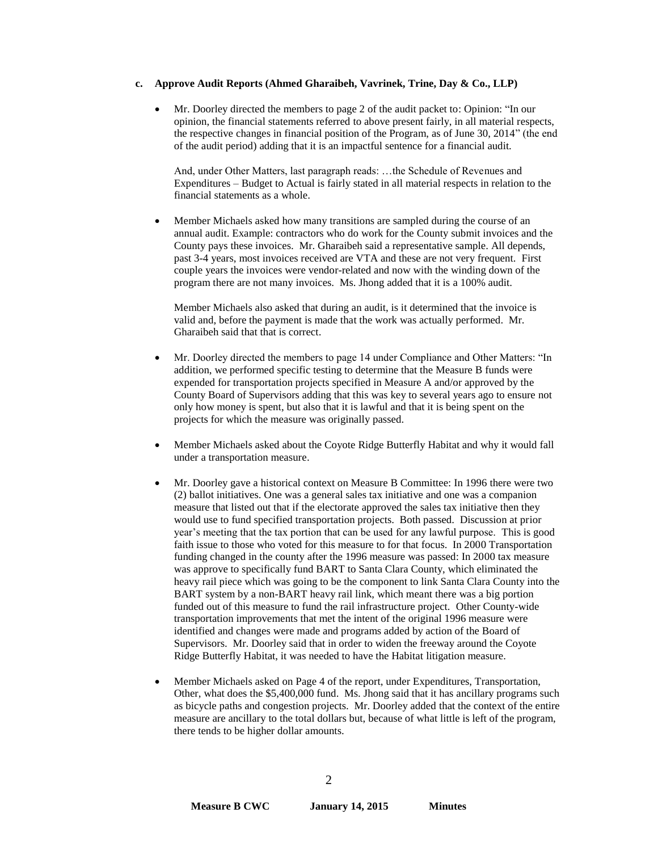#### **c. Approve Audit Reports (Ahmed Gharaibeh, Vavrinek, Trine, Day & Co., LLP)**

 Mr. Doorley directed the members to page 2 of the audit packet to: Opinion: "In our opinion, the financial statements referred to above present fairly, in all material respects, the respective changes in financial position of the Program, as of June 30, 2014" (the end of the audit period) adding that it is an impactful sentence for a financial audit.

And, under Other Matters, last paragraph reads: …the Schedule of Revenues and Expenditures – Budget to Actual is fairly stated in all material respects in relation to the financial statements as a whole.

 Member Michaels asked how many transitions are sampled during the course of an annual audit. Example: contractors who do work for the County submit invoices and the County pays these invoices. Mr. Gharaibeh said a representative sample. All depends, past 3-4 years, most invoices received are VTA and these are not very frequent. First couple years the invoices were vendor-related and now with the winding down of the program there are not many invoices. Ms. Jhong added that it is a 100% audit.

Member Michaels also asked that during an audit, is it determined that the invoice is valid and, before the payment is made that the work was actually performed. Mr. Gharaibeh said that that is correct.

- Mr. Doorley directed the members to page 14 under Compliance and Other Matters: "In addition, we performed specific testing to determine that the Measure B funds were expended for transportation projects specified in Measure A and/or approved by the County Board of Supervisors adding that this was key to several years ago to ensure not only how money is spent, but also that it is lawful and that it is being spent on the projects for which the measure was originally passed.
- Member Michaels asked about the Coyote Ridge Butterfly Habitat and why it would fall under a transportation measure.
- Mr. Doorley gave a historical context on Measure B Committee: In 1996 there were two (2) ballot initiatives. One was a general sales tax initiative and one was a companion measure that listed out that if the electorate approved the sales tax initiative then they would use to fund specified transportation projects. Both passed. Discussion at prior year's meeting that the tax portion that can be used for any lawful purpose. This is good faith issue to those who voted for this measure to for that focus. In 2000 Transportation funding changed in the county after the 1996 measure was passed: In 2000 tax measure was approve to specifically fund BART to Santa Clara County, which eliminated the heavy rail piece which was going to be the component to link Santa Clara County into the BART system by a non-BART heavy rail link, which meant there was a big portion funded out of this measure to fund the rail infrastructure project. Other County-wide transportation improvements that met the intent of the original 1996 measure were identified and changes were made and programs added by action of the Board of Supervisors. Mr. Doorley said that in order to widen the freeway around the Coyote Ridge Butterfly Habitat, it was needed to have the Habitat litigation measure.
- Member Michaels asked on Page 4 of the report, under Expenditures, Transportation, Other, what does the \$5,400,000 fund. Ms. Jhong said that it has ancillary programs such as bicycle paths and congestion projects. Mr. Doorley added that the context of the entire measure are ancillary to the total dollars but, because of what little is left of the program, there tends to be higher dollar amounts.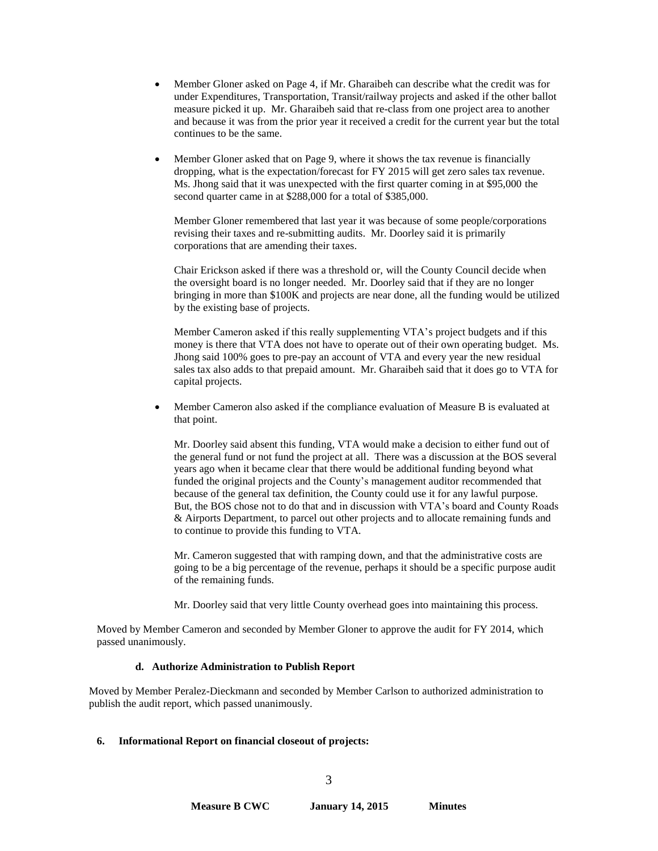- Member Gloner asked on Page 4, if Mr. Gharaibeh can describe what the credit was for under Expenditures, Transportation, Transit/railway projects and asked if the other ballot measure picked it up. Mr. Gharaibeh said that re-class from one project area to another and because it was from the prior year it received a credit for the current year but the total continues to be the same.
- Member Gloner asked that on Page 9, where it shows the tax revenue is financially dropping, what is the expectation/forecast for FY 2015 will get zero sales tax revenue. Ms. Jhong said that it was unexpected with the first quarter coming in at \$95,000 the second quarter came in at \$288,000 for a total of \$385,000.

Member Gloner remembered that last year it was because of some people/corporations revising their taxes and re-submitting audits. Mr. Doorley said it is primarily corporations that are amending their taxes.

Chair Erickson asked if there was a threshold or, will the County Council decide when the oversight board is no longer needed. Mr. Doorley said that if they are no longer bringing in more than \$100K and projects are near done, all the funding would be utilized by the existing base of projects.

Member Cameron asked if this really supplementing VTA's project budgets and if this money is there that VTA does not have to operate out of their own operating budget. Ms. Jhong said 100% goes to pre-pay an account of VTA and every year the new residual sales tax also adds to that prepaid amount. Mr. Gharaibeh said that it does go to VTA for capital projects.

 Member Cameron also asked if the compliance evaluation of Measure B is evaluated at that point.

Mr. Doorley said absent this funding, VTA would make a decision to either fund out of the general fund or not fund the project at all. There was a discussion at the BOS several years ago when it became clear that there would be additional funding beyond what funded the original projects and the County's management auditor recommended that because of the general tax definition, the County could use it for any lawful purpose. But, the BOS chose not to do that and in discussion with VTA's board and County Roads & Airports Department, to parcel out other projects and to allocate remaining funds and to continue to provide this funding to VTA.

Mr. Cameron suggested that with ramping down, and that the administrative costs are going to be a big percentage of the revenue, perhaps it should be a specific purpose audit of the remaining funds.

Mr. Doorley said that very little County overhead goes into maintaining this process.

Moved by Member Cameron and seconded by Member Gloner to approve the audit for FY 2014, which passed unanimously.

## **d. Authorize Administration to Publish Report**

Moved by Member Peralez-Dieckmann and seconded by Member Carlson to authorized administration to publish the audit report, which passed unanimously.

#### **6. Informational Report on financial closeout of projects:**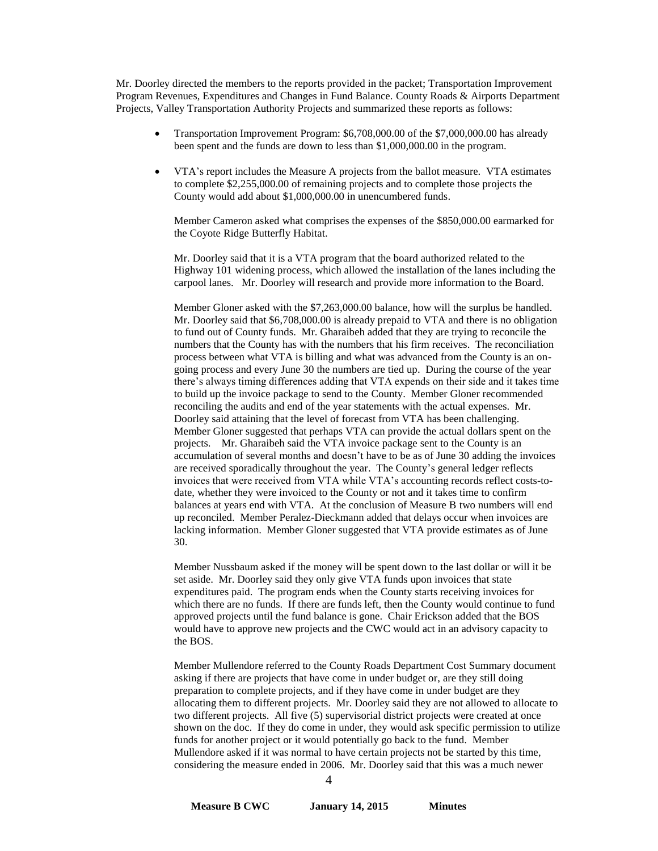Mr. Doorley directed the members to the reports provided in the packet; Transportation Improvement Program Revenues, Expenditures and Changes in Fund Balance. County Roads & Airports Department Projects, Valley Transportation Authority Projects and summarized these reports as follows:

- Transportation Improvement Program: \$6,708,000.00 of the \$7,000,000.00 has already been spent and the funds are down to less than \$1,000,000.00 in the program.
- VTA's report includes the Measure A projects from the ballot measure. VTA estimates to complete \$2,255,000.00 of remaining projects and to complete those projects the County would add about \$1,000,000.00 in unencumbered funds.

Member Cameron asked what comprises the expenses of the \$850,000.00 earmarked for the Coyote Ridge Butterfly Habitat.

Mr. Doorley said that it is a VTA program that the board authorized related to the Highway 101 widening process, which allowed the installation of the lanes including the carpool lanes. Mr. Doorley will research and provide more information to the Board.

Member Gloner asked with the \$7,263,000.00 balance, how will the surplus be handled. Mr. Doorley said that \$6,708,000.00 is already prepaid to VTA and there is no obligation to fund out of County funds. Mr. Gharaibeh added that they are trying to reconcile the numbers that the County has with the numbers that his firm receives. The reconciliation process between what VTA is billing and what was advanced from the County is an ongoing process and every June 30 the numbers are tied up. During the course of the year there's always timing differences adding that VTA expends on their side and it takes time to build up the invoice package to send to the County. Member Gloner recommended reconciling the audits and end of the year statements with the actual expenses. Mr. Doorley said attaining that the level of forecast from VTA has been challenging. Member Gloner suggested that perhaps VTA can provide the actual dollars spent on the projects. Mr. Gharaibeh said the VTA invoice package sent to the County is an accumulation of several months and doesn't have to be as of June 30 adding the invoices are received sporadically throughout the year. The County's general ledger reflects invoices that were received from VTA while VTA's accounting records reflect costs-todate, whether they were invoiced to the County or not and it takes time to confirm balances at years end with VTA. At the conclusion of Measure B two numbers will end up reconciled. Member Peralez-Dieckmann added that delays occur when invoices are lacking information. Member Gloner suggested that VTA provide estimates as of June 30.

Member Nussbaum asked if the money will be spent down to the last dollar or will it be set aside. Mr. Doorley said they only give VTA funds upon invoices that state expenditures paid. The program ends when the County starts receiving invoices for which there are no funds. If there are funds left, then the County would continue to fund approved projects until the fund balance is gone. Chair Erickson added that the BOS would have to approve new projects and the CWC would act in an advisory capacity to the BOS.

Member Mullendore referred to the County Roads Department Cost Summary document asking if there are projects that have come in under budget or, are they still doing preparation to complete projects, and if they have come in under budget are they allocating them to different projects. Mr. Doorley said they are not allowed to allocate to two different projects. All five (5) supervisorial district projects were created at once shown on the doc. If they do come in under, they would ask specific permission to utilize funds for another project or it would potentially go back to the fund. Member Mullendore asked if it was normal to have certain projects not be started by this time, considering the measure ended in 2006. Mr. Doorley said that this was a much newer